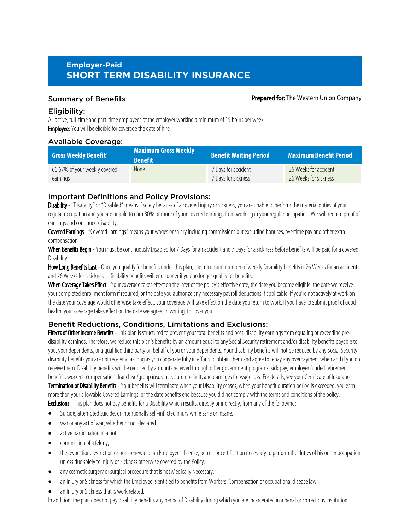# **Employer-Paid SHORT TERM DISABILITY INSURANCE**

#### Summary of Benefits **Prepared for: The Western Union Company**

### Eligibility:

All active, full-time and part-time employees of the employer working a minimum of 15 hours per week. **Employee:** You will be eligible for coverage the date of hire.

# Available Coverage:

| <b>Gross Weekly Benefit<sup>1</sup></b> | Maximum Gross Weekly<br><b>Renefit</b> | <b>Benefit Waiting Period</b> | Maximum Benefit Period ' |
|-----------------------------------------|----------------------------------------|-------------------------------|--------------------------|
| 66.67% of your weekly covered           | <b>None</b>                            | 7 Days for accident           | 26 Weeks for accident    |
| earnings                                |                                        | 7 Days for sickness           | 26 Weeks for sickness    |

# Important Definitions and Policy Provisions:

Disability - "Disability" or "Disabled" means if solely because of a covered injury or sickness, you are unable to perform the material duties of your regular occupation and you are unable to earn 80% or more of your covered earnings from working in your regular occupation. We will require proof of earnings and continued disability.

Covered Earnings - "Covered Earnings" means your wages or salary including commissions but excluding bonuses, overtime pay and other extra compensation.

When Benefits Begin - You must be continuously Disabled for 7 Days for an accident and 7 Days for a sickness before benefits will be paid for a covered Disability.

How Long Benefits Last - Once you qualify for benefits under this plan, the maximum number of weekly Disability benefits is 26 Weeks for an accident and 26 Weeks for a sickness. Disability benefits will end sooner if you no longer qualify for benefits.

When Coverage Takes Effect - Your coverage takes effect on the later of the policy's effective date, the date you become eligible, the date we receive your completed enrollment form if required, or the date you authorize any necessary payroll deductions if applicable. If you're not actively at work on the date your coverage would otherwise take effect, your coverage will take effect on the date you return to work. If you have to submit proof of good health, your coverage takes effect on the date we agree, in writing, to cover you.

# Benefit Reductions, Conditions, Limitations and Exclusions:

**Effects of Other Income Benefits** - This plan is structured to prevent your total benefits and post-disability earnings from equaling or exceeding predisability earnings. Therefore, we reduce this plan's benefits by an amount equal to any Social Security retirement and/or disability benefits payable to you, your dependents, or a qualified third party on behalf of you or your dependents. Your disability benefits will not be reduced by any Social Security disability benefits you are not receiving as long as you cooperate fully in efforts to obtain them and agree to repay any overpayment when and if you do receive them. Disability benefits will be reduced by amounts received through other government programs, sick pay, employer funded retirement benefits, workers' compensation, franchise/group insurance, auto no-fault, and damages for wage loss. For details, see your Certificate of Insurance. Termination of Disability Benefits - Your benefits will terminate when your Disability ceases, when your benefit duration period is exceeded, you earn more than your allowable Covered Earnings, or the date benefits end because you did not comply with the terms and conditions of the policy. Exclusions - This plan does not pay benefits for a Disability which results, directly or indirectly, from any of the following:

- Suicide, attempted suicide, or intentionally self-inflicted injury while sane or insane.
- · war or any act of war, whether or not declared.
- active participation in a riot;
- commission of a felony;
- the revocation, restriction or non-renewal of an Employee's license, permit or certification necessary to perform the duties of his or her occupation unless due solely to Injury or Sickness otherwise covered by the Policy.
- any cosmetic surgery or surgical procedure that is not Medically Necessary.
- an Injury or Sickness for which the Employee is entitled to benefits from Workers' Compensation or occupational disease law.
- an Injury or Sickness that is work related.

In addition, the plan does not pay disability benefits any period of Disability during which you are incarcerated in a penal or corrections institution.